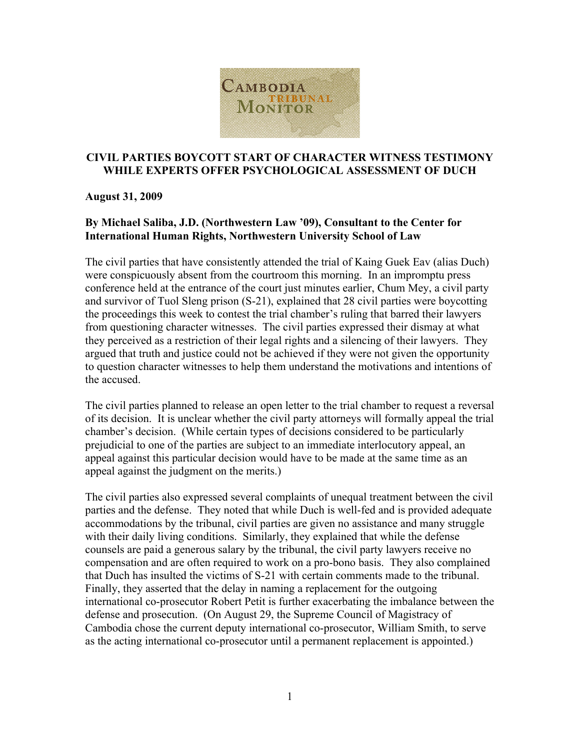

## **CIVIL PARTIES BOYCOTT START OF CHARACTER WITNESS TESTIMONY WHILE EXPERTS OFFER PSYCHOLOGICAL ASSESSMENT OF DUCH**

## **August 31, 2009**

## **By Michael Saliba, J.D. (Northwestern Law '09), Consultant to the Center for International Human Rights, Northwestern University School of Law**

The civil parties that have consistently attended the trial of Kaing Guek Eav (alias Duch) were conspicuously absent from the courtroom this morning. In an impromptu press conference held at the entrance of the court just minutes earlier, Chum Mey, a civil party and survivor of Tuol Sleng prison (S-21), explained that 28 civil parties were boycotting the proceedings this week to contest the trial chamber's ruling that barred their lawyers from questioning character witnesses. The civil parties expressed their dismay at what they perceived as a restriction of their legal rights and a silencing of their lawyers. They argued that truth and justice could not be achieved if they were not given the opportunity to question character witnesses to help them understand the motivations and intentions of the accused.

The civil parties planned to release an open letter to the trial chamber to request a reversal of its decision. It is unclear whether the civil party attorneys will formally appeal the trial chamber's decision. (While certain types of decisions considered to be particularly prejudicial to one of the parties are subject to an immediate interlocutory appeal, an appeal against this particular decision would have to be made at the same time as an appeal against the judgment on the merits.)

The civil parties also expressed several complaints of unequal treatment between the civil parties and the defense. They noted that while Duch is well-fed and is provided adequate accommodations by the tribunal, civil parties are given no assistance and many struggle with their daily living conditions. Similarly, they explained that while the defense counsels are paid a generous salary by the tribunal, the civil party lawyers receive no compensation and are often required to work on a pro-bono basis. They also complained that Duch has insulted the victims of S-21 with certain comments made to the tribunal. Finally, they asserted that the delay in naming a replacement for the outgoing international co-prosecutor Robert Petit is further exacerbating the imbalance between the defense and prosecution. (On August 29, the Supreme Council of Magistracy of Cambodia chose the current deputy international co-prosecutor, William Smith, to serve as the acting international co-prosecutor until a permanent replacement is appointed.)